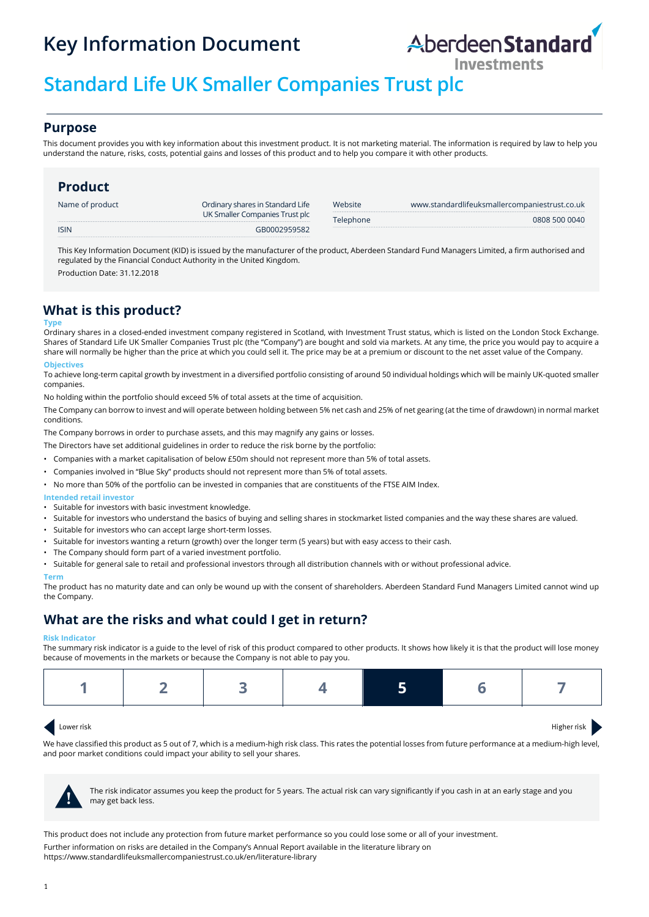# **Key Information Document**



# **Standard Life UK Smaller Companies Trust plc**

### **Purpose**

This document provides you with key information about this investment product. It is not marketing material. The information is required by law to help you understand the nature, risks, costs, potential gains and losses of this product and to help you compare it with other products.

## **Product**

| Name of product | Ordinary shares in Standard Life | Website   | www.standardlifeuksmallercompaniestrust.co.uk |
|-----------------|----------------------------------|-----------|-----------------------------------------------|
|                 | UK Smaller Companies Trust plc   | Telephone | 0808 500 0040                                 |
| <b>ISIN</b>     | GR0002959582                     |           |                                               |

This Key Information Document (KID) is issued by the manufacturer of the product, Aberdeen Standard Fund Managers Limited, a firm authorised and regulated by the Financial Conduct Authority in the United Kingdom.

Production Date: 31.12.2018

# **What is this product?**

#### **Typ**

Ordinary shares in a closed-ended investment company registered in Scotland, with Investment Trust status, which is listed on the London Stock Exchange. Shares of Standard Life UK Smaller Companies Trust plc (the "Company") are bought and sold via markets. At any time, the price you would pay to acquire a share will normally be higher than the price at which you could sell it. The price may be at a premium or discount to the net asset value of the Company. **Objectives**

To achieve long-term capital growth by investment in a diversified portfolio consisting of around 50 individual holdings which will be mainly UK-quoted smaller companies.

No holding within the portfolio should exceed 5% of total assets at the time of acquisition.

The Company can borrow to invest and will operate between holding between 5% net cash and 25% of net gearing (at the time of drawdown) in normal market conditions.

The Company borrows in order to purchase assets, and this may magnify any gains or losses.

The Directors have set additional guidelines in order to reduce the risk borne by the portfolio:

- Companies with a market capitalisation of below £50m should not represent more than 5% of total assets.
- Companies involved in "Blue Sky" products should not represent more than 5% of total assets.
- No more than 50% of the portfolio can be invested in companies that are constituents of the FTSE AIM Index.

#### **Intended retail investor**

- Suitable for investors with basic investment knowledge.
- Suitable for investors who understand the basics of buying and selling shares in stockmarket listed companies and the way these shares are valued.
- Suitable for investors who can accept large short-term losses.
- Suitable for investors wanting a return (growth) over the longer term (5 years) but with easy access to their cash.
- The Company should form part of a varied investment portfolio.
- Suitable for general sale to retail and professional investors through all distribution channels with or without professional advice.

#### **Term**

The product has no maturity date and can only be wound up with the consent of shareholders. Aberdeen Standard Fund Managers Limited cannot wind up the Company.

# **What are the risks and what could I get in return?**

#### **Risk Indicator**

The summary risk indicator is a guide to the level of risk of this product compared to other products. It shows how likely it is that the product will lose money because of movements in the markets or because the Company is not able to pay you.

|--|

#### Lower risk Higher risk

We have classified this product as 5 out of 7, which is a medium-high risk class. This rates the potential losses from future performance at a medium-high level, and poor market conditions could impact your ability to sell your shares.



The risk indicator assumes you keep the product for 5 years. The actual risk can vary significantly if you cash in at an early stage and you **!** may get back less.

This product does not include any protection from future market performance so you could lose some or all of your investment. Further information on risks are detailed in the Company's Annual Report available in the literature library on https://www.standardlifeuksmallercompaniestrust.co.uk/en/literature-library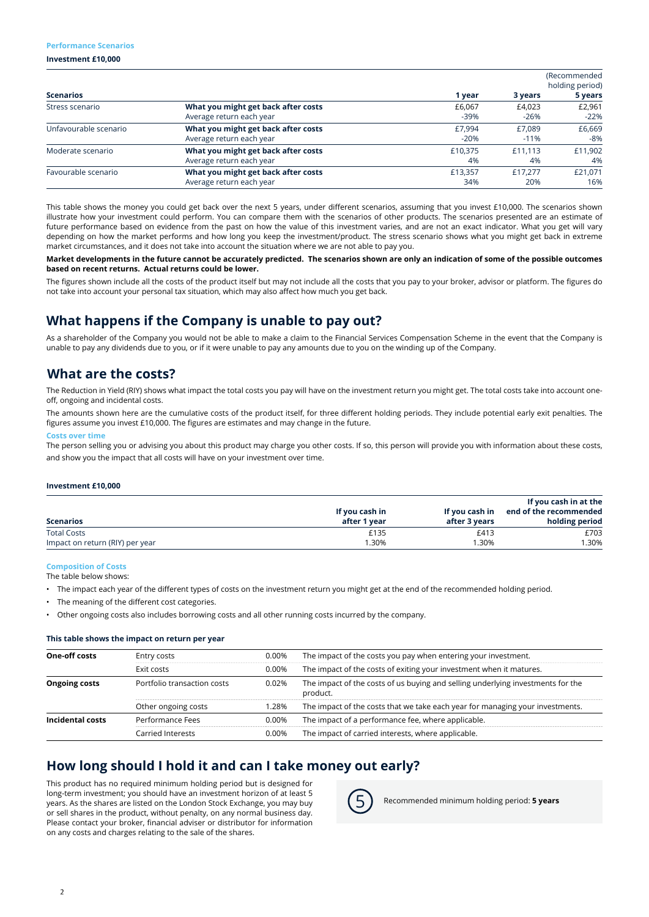#### **Performance Scenarios**

**Investment £10,000**

|                       |                                     | (Recommended<br>holding period) |         |         |
|-----------------------|-------------------------------------|---------------------------------|---------|---------|
| <b>Scenarios</b>      |                                     | 1 year                          | 3 years | 5 years |
| Stress scenario       | What you might get back after costs | £6,067                          | £4.023  | £2,961  |
|                       | Average return each year            | $-39%$                          | $-26%$  | $-22%$  |
| Unfavourable scenario | What you might get back after costs | £7.994                          | £7.089  | £6,669  |
|                       | Average return each year            | $-20%$                          | $-11%$  | -8%     |
| Moderate scenario     | What you might get back after costs | £10.375                         | £11.113 | £11,902 |
|                       | Average return each year            | 4%                              | 4%      | 4%      |
| Favourable scenario   | What you might get back after costs | £13.357                         | £17.277 | £21,071 |
|                       | Average return each year            | 34%                             | 20%     | 16%     |

This table shows the money you could get back over the next 5 years, under different scenarios, assuming that you invest £10,000. The scenarios shown illustrate how your investment could perform. You can compare them with the scenarios of other products. The scenarios presented are an estimate of future performance based on evidence from the past on how the value of this investment varies, and are not an exact indicator. What you get will vary depending on how the market performs and how long you keep the investment/product. The stress scenario shows what you might get back in extreme market circumstances, and it does not take into account the situation where we are not able to pay you.

#### **Market developments in the future cannot be accurately predicted. The scenarios shown are only an indication of some of the possible outcomes based on recent returns. Actual returns could be lower.**

The figures shown include all the costs of the product itself but may not include all the costs that you pay to your broker, advisor or platform. The figures do not take into account your personal tax situation, which may also affect how much you get back.

# **What happens if the Company is unable to pay out?**

As a shareholder of the Company you would not be able to make a claim to the Financial Services Compensation Scheme in the event that the Company is unable to pay any dividends due to you, or if it were unable to pay any amounts due to you on the winding up of the Company.

## **What are the costs?**

The Reduction in Yield (RIY) shows what impact the total costs you pay will have on the investment return you might get. The total costs take into account oneoff, ongoing and incidental costs.

The amounts shown here are the cumulative costs of the product itself, for three different holding periods. They include potential early exit penalties. The figures assume you invest £10,000. The figures are estimates and may change in the future.

#### **Costs over time**

The person selling you or advising you about this product may charge you other costs. If so, this person will provide you with information about these costs, and show you the impact that all costs will have on your investment over time.

#### **Investment £10,000**

|                                 |                |                | If you cash in at the  |
|---------------------------------|----------------|----------------|------------------------|
|                                 | If you cash in | If you cash in | end of the recommended |
| <b>Scenarios</b>                | after 1 vear   | after 3 vears  | holding period         |
| <b>Total Costs</b>              | £135           | £413           | £703                   |
| Impact on return (RIY) per year | 1.30%          | 1.30%          | .30%                   |

#### **Composition of Costs**

The table below shows:

- The impact each year of the different types of costs on the investment return you might get at the end of the recommended holding period.
- The meaning of the different cost categories.
- Other ongoing costs also includes borrowing costs and all other running costs incurred by the company.

#### **This table shows the impact on return per year**

| One-off costs        | Entry costs                 | 0.00% | The impact of the costs you pay when entering your investment.                              |
|----------------------|-----------------------------|-------|---------------------------------------------------------------------------------------------|
|                      | Exit costs                  | 0.00% | The impact of the costs of exiting your investment when it matures.                         |
| <b>Ongoing costs</b> | Portfolio transaction costs | 0.02% | The impact of the costs of us buying and selling underlying investments for the<br>product. |
|                      | Other ongoing costs         | 1.28% | The impact of the costs that we take each year for managing your investments.               |
| Incidental costs     | Performance Fees            | 0.00% | The impact of a performance fee, where applicable.                                          |
|                      | Carried Interests           | 0.00% | The impact of carried interests, where applicable.                                          |

## **How long should I hold it and can I take money out early?**

This product has no required minimum holding period but is designed for long-term investment; you should have an investment horizon of at least 5 years. As the shares are listed on the London Stock Exchange, you may buy or sell shares in the product, without penalty, on any normal business day. Please contact your broker, financial adviser or distributor for information on any costs and charges relating to the sale of the shares.



5 Recommended minimum holding period: **5 years**